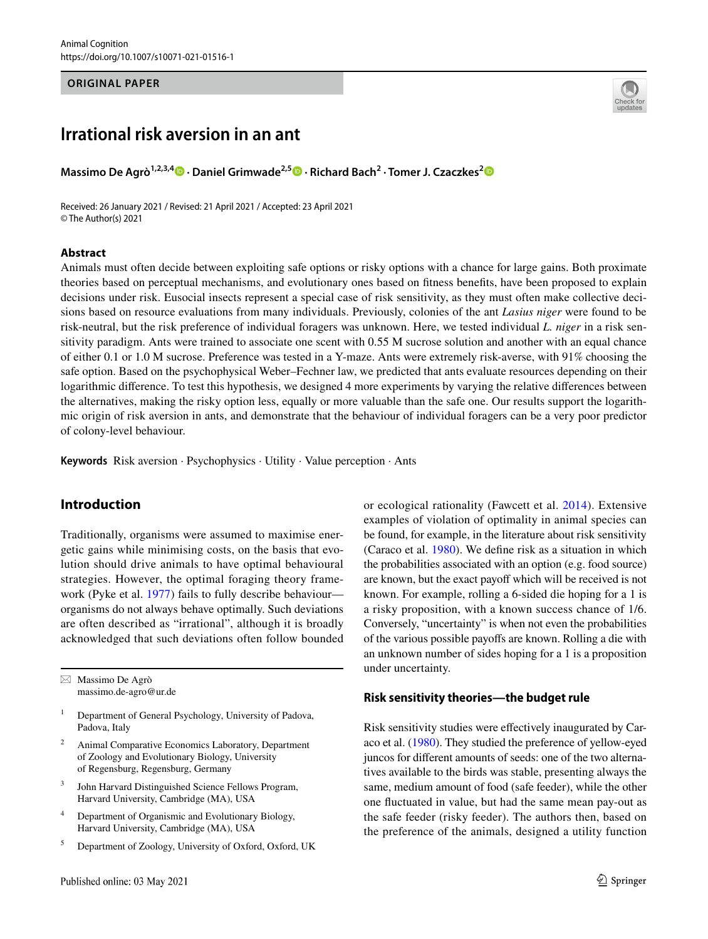#### **ORIGINAL PAPER**

# **Irrational risk aversion in an ant**

**Massimo De Agrò1,2,3,4 · Daniel Grimwade2,5 · Richard Bach2 · Tomer J. Czaczkes[2](http://orcid.org/0000-0002-1350-4975)**

Received: 26 January 2021 / Revised: 21 April 2021 / Accepted: 23 April 2021 © The Author(s) 2021

#### **Abstract**



Animals must often decide between exploiting safe options or risky options with a chance for large gains. Both proximate theories based on perceptual mechanisms, and evolutionary ones based on ftness benefts, have been proposed to explain decisions under risk. Eusocial insects represent a special case of risk sensitivity, as they must often make collective decisions based on resource evaluations from many individuals. Previously, colonies of the ant *Lasius niger* were found to be risk-neutral, but the risk preference of individual foragers was unknown. Here, we tested individual *L. niger* in a risk sensitivity paradigm. Ants were trained to associate one scent with 0.55 M sucrose solution and another with an equal chance of either 0.1 or 1.0 M sucrose. Preference was tested in a Y-maze. Ants were extremely risk-averse, with 91% choosing the safe option. Based on the psychophysical Weber–Fechner law, we predicted that ants evaluate resources depending on their logarithmic diference. To test this hypothesis, we designed 4 more experiments by varying the relative diferences between the alternatives, making the risky option less, equally or more valuable than the safe one. Our results support the logarithmic origin of risk aversion in ants, and demonstrate that the behaviour of individual foragers can be a very poor predictor of colony-level behaviour.

**Keywords** Risk aversion · Psychophysics · Utility · Value perception · Ants

### **Introduction**

Traditionally, organisms were assumed to maximise energetic gains while minimising costs, on the basis that evolution should drive animals to have optimal behavioural strategies. However, the optimal foraging theory framework (Pyke et al. [1977\)](#page-8-0) fails to fully describe behaviour organisms do not always behave optimally. Such deviations are often described as "irrational", although it is broadly acknowledged that such deviations often follow bounded

 $\boxtimes$  Massimo De Agrò massimo.de-agro@ur.de

- <sup>1</sup> Department of General Psychology, University of Padova, Padova, Italy
- <sup>2</sup> Animal Comparative Economics Laboratory, Department of Zoology and Evolutionary Biology, University of Regensburg, Regensburg, Germany
- <sup>3</sup> John Harvard Distinguished Science Fellows Program, Harvard University, Cambridge (MA), USA
- <sup>4</sup> Department of Organismic and Evolutionary Biology, Harvard University, Cambridge (MA), USA
- <sup>5</sup> Department of Zoology, University of Oxford, Oxford, UK

or ecological rationality (Fawcett et al. [2014](#page-7-0)). Extensive examples of violation of optimality in animal species can be found, for example, in the literature about risk sensitivity (Caraco et al. [1980](#page-7-1)). We defne risk as a situation in which the probabilities associated with an option (e.g. food source) are known, but the exact payoff which will be received is not known. For example, rolling a 6-sided die hoping for a 1 is a risky proposition, with a known success chance of 1/6. Conversely, "uncertainty" is when not even the probabilities of the various possible payofs are known. Rolling a die with an unknown number of sides hoping for a 1 is a proposition under uncertainty.

### **Risk sensitivity theories—the budget rule**

Risk sensitivity studies were efectively inaugurated by Caraco et al. ([1980](#page-7-1)). They studied the preference of yellow-eyed juncos for diferent amounts of seeds: one of the two alternatives available to the birds was stable, presenting always the same, medium amount of food (safe feeder), while the other one fuctuated in value, but had the same mean pay-out as the safe feeder (risky feeder). The authors then, based on the preference of the animals, designed a utility function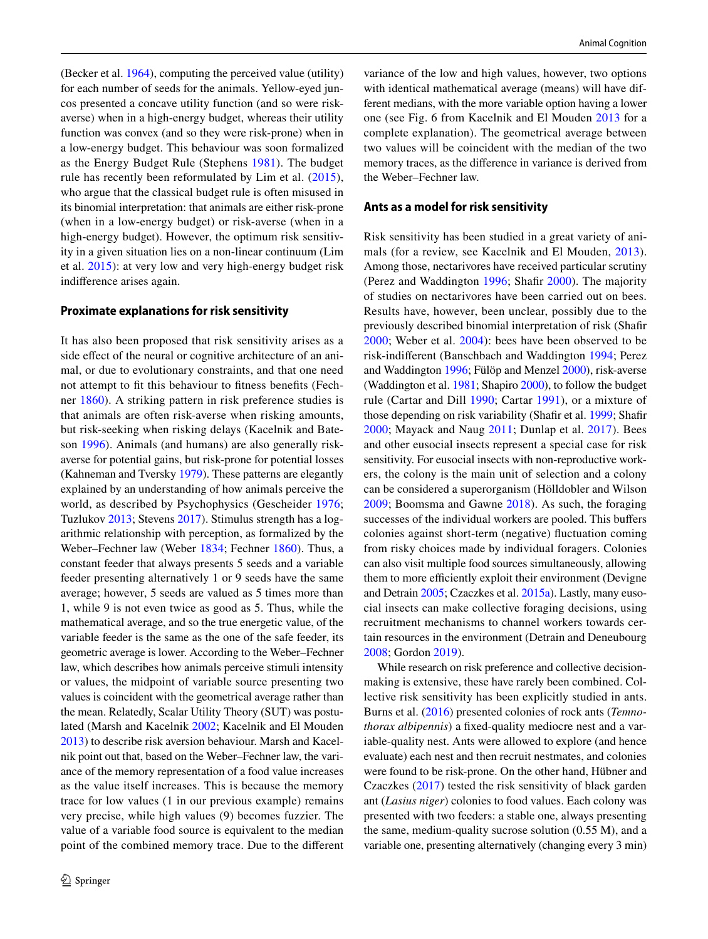(Becker et al. [1964](#page-7-2)), computing the perceived value (utility) for each number of seeds for the animals. Yellow-eyed juncos presented a concave utility function (and so were riskaverse) when in a high-energy budget, whereas their utility function was convex (and so they were risk-prone) when in a low-energy budget. This behaviour was soon formalized as the Energy Budget Rule (Stephens [1981\)](#page-8-1). The budget rule has recently been reformulated by Lim et al. ([2015](#page-8-2)), who argue that the classical budget rule is often misused in its binomial interpretation: that animals are either risk-prone (when in a low-energy budget) or risk-averse (when in a high-energy budget). However, the optimum risk sensitivity in a given situation lies on a non-linear continuum (Lim et al. [2015](#page-8-2)): at very low and very high-energy budget risk indiference arises again.

#### **Proximate explanations for risk sensitivity**

It has also been proposed that risk sensitivity arises as a side effect of the neural or cognitive architecture of an animal, or due to evolutionary constraints, and that one need not attempt to ft this behaviour to ftness benefts (Fechner [1860\)](#page-7-3). A striking pattern in risk preference studies is that animals are often risk-averse when risking amounts, but risk-seeking when risking delays (Kacelnik and Bateson [1996\)](#page-7-4). Animals (and humans) are also generally riskaverse for potential gains, but risk-prone for potential losses (Kahneman and Tversky [1979](#page-8-3)). These patterns are elegantly explained by an understanding of how animals perceive the world, as described by Psychophysics (Gescheider [1976](#page-7-5); Tuzlukov [2013](#page-8-4); Stevens [2017\)](#page-8-5). Stimulus strength has a logarithmic relationship with perception, as formalized by the Weber–Fechner law (Weber [1834](#page-8-6); Fechner [1860\)](#page-7-3). Thus, a constant feeder that always presents 5 seeds and a variable feeder presenting alternatively 1 or 9 seeds have the same average; however, 5 seeds are valued as 5 times more than 1, while 9 is not even twice as good as 5. Thus, while the mathematical average, and so the true energetic value, of the variable feeder is the same as the one of the safe feeder, its geometric average is lower. According to the Weber–Fechner law, which describes how animals perceive stimuli intensity or values, the midpoint of variable source presenting two values is coincident with the geometrical average rather than the mean. Relatedly, Scalar Utility Theory (SUT) was postulated (Marsh and Kacelnik [2002;](#page-8-7) Kacelnik and El Mouden [2013\)](#page-8-8) to describe risk aversion behaviour. Marsh and Kacelnik point out that, based on the Weber–Fechner law, the variance of the memory representation of a food value increases as the value itself increases. This is because the memory trace for low values (1 in our previous example) remains very precise, while high values (9) becomes fuzzier. The value of a variable food source is equivalent to the median point of the combined memory trace. Due to the diferent variance of the low and high values, however, two options with identical mathematical average (means) will have different medians, with the more variable option having a lower one (see Fig. 6 from Kacelnik and El Mouden [2013](#page-8-8) for a complete explanation). The geometrical average between two values will be coincident with the median of the two memory traces, as the diference in variance is derived from the Weber–Fechner law.

#### **Ants as a model for risk sensitivity**

Risk sensitivity has been studied in a great variety of animals (for a review, see Kacelnik and El Mouden, [2013](#page-8-8)). Among those, nectarivores have received particular scrutiny (Perez and Waddington [1996;](#page-8-9) Shafr [2000](#page-8-10)). The majority of studies on nectarivores have been carried out on bees. Results have, however, been unclear, possibly due to the previously described binomial interpretation of risk (Shafr [2000;](#page-8-10) Weber et al. [2004](#page-8-11)): bees have been observed to be risk-indiferent (Banschbach and Waddington [1994](#page-7-6); Perez and Waddington [1996;](#page-8-9) Fülöp and Menzel [2000](#page-7-7)), risk-averse (Waddington et al. [1981;](#page-8-12) Shapiro [2000](#page-8-13)), to follow the budget rule (Cartar and Dill [1990](#page-7-8); Cartar [1991\)](#page-7-9), or a mixture of those depending on risk variability (Shafr et al. [1999;](#page-8-14) Shafr [2000;](#page-8-10) Mayack and Naug [2011;](#page-8-15) Dunlap et al. [2017](#page-7-10)). Bees and other eusocial insects represent a special case for risk sensitivity. For eusocial insects with non-reproductive workers, the colony is the main unit of selection and a colony can be considered a superorganism (Hölldobler and Wilson [2009;](#page-7-11) Boomsma and Gawne [2018\)](#page-7-12). As such, the foraging successes of the individual workers are pooled. This buffers colonies against short-term (negative) fuctuation coming from risky choices made by individual foragers. Colonies can also visit multiple food sources simultaneously, allowing them to more efficiently exploit their environment (Devigne and Detrain [2005;](#page-7-13) Czaczkes et al. [2015a\)](#page-7-14). Lastly, many eusocial insects can make collective foraging decisions, using recruitment mechanisms to channel workers towards certain resources in the environment (Detrain and Deneubourg [2008](#page-7-15); Gordon [2019](#page-7-16)).

While research on risk preference and collective decisionmaking is extensive, these have rarely been combined. Collective risk sensitivity has been explicitly studied in ants. Burns et al. [\(2016](#page-7-17)) presented colonies of rock ants (*Temnothorax albipennis*) a fxed-quality mediocre nest and a variable-quality nest. Ants were allowed to explore (and hence evaluate) each nest and then recruit nestmates, and colonies were found to be risk-prone. On the other hand, Hübner and Czaczkes [\(2017\)](#page-7-18) tested the risk sensitivity of black garden ant (*Lasius niger*) colonies to food values. Each colony was presented with two feeders: a stable one, always presenting the same, medium-quality sucrose solution (0.55 M), and a variable one, presenting alternatively (changing every 3 min)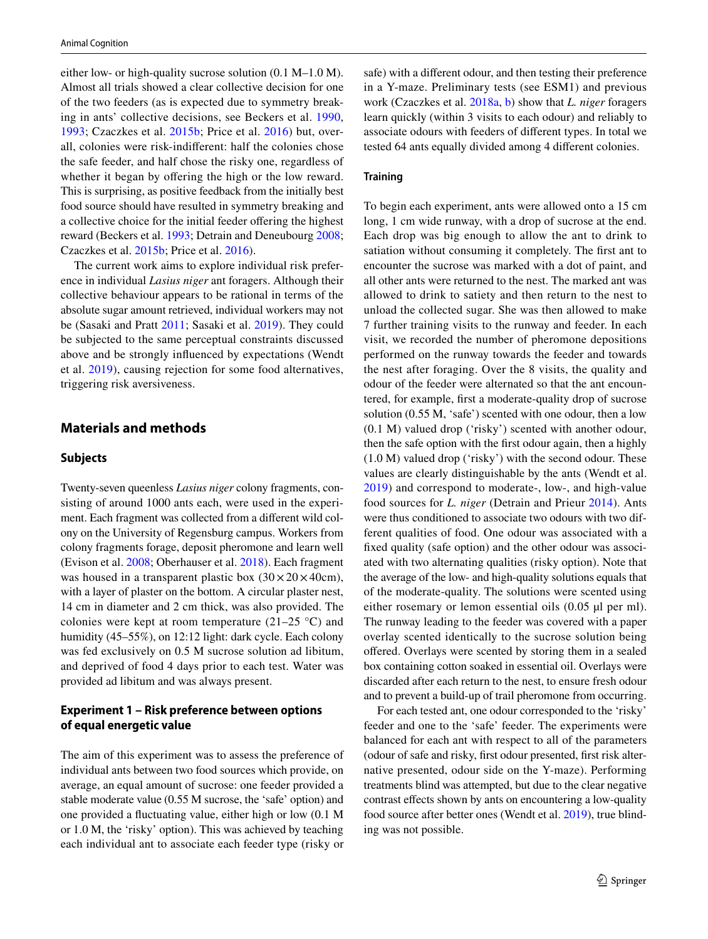either low- or high-quality sucrose solution (0.1 M–1.0 M). Almost all trials showed a clear collective decision for one of the two feeders (as is expected due to symmetry breaking in ants' collective decisions, see Beckers et al. [1990,](#page-7-19) [1993;](#page-7-20) Czaczkes et al. [2015b](#page-7-21); Price et al. [2016\)](#page-8-16) but, overall, colonies were risk-indiferent: half the colonies chose the safe feeder, and half chose the risky one, regardless of whether it began by offering the high or the low reward. This is surprising, as positive feedback from the initially best food source should have resulted in symmetry breaking and a collective choice for the initial feeder ofering the highest reward (Beckers et al. [1993](#page-7-20); Detrain and Deneubourg [2008](#page-7-15); Czaczkes et al. [2015b;](#page-7-21) Price et al. [2016\)](#page-8-16).

The current work aims to explore individual risk preference in individual *Lasius niger* ant foragers. Although their collective behaviour appears to be rational in terms of the absolute sugar amount retrieved, individual workers may not be (Sasaki and Pratt [2011](#page-8-17); Sasaki et al. [2019](#page-8-18)). They could be subjected to the same perceptual constraints discussed above and be strongly infuenced by expectations (Wendt et al. [2019](#page-8-19)), causing rejection for some food alternatives, triggering risk aversiveness.

## **Materials and methods**

#### **Subjects**

Twenty-seven queenless *Lasius niger* colony fragments, consisting of around 1000 ants each, were used in the experiment. Each fragment was collected from a diferent wild colony on the University of Regensburg campus. Workers from colony fragments forage, deposit pheromone and learn well (Evison et al. [2008;](#page-7-22) Oberhauser et al. [2018](#page-8-20)). Each fragment was housed in a transparent plastic box  $(30 \times 20 \times 40 \text{cm})$ , with a layer of plaster on the bottom. A circular plaster nest, 14 cm in diameter and 2 cm thick, was also provided. The colonies were kept at room temperature  $(21-25 \degree C)$  and humidity (45–55%), on 12:12 light: dark cycle. Each colony was fed exclusively on 0.5 M sucrose solution ad libitum, and deprived of food 4 days prior to each test. Water was provided ad libitum and was always present.

### **Experiment 1 – Risk preference between options of equal energetic value**

The aim of this experiment was to assess the preference of individual ants between two food sources which provide, on average, an equal amount of sucrose: one feeder provided a stable moderate value (0.55 M sucrose, the 'safe' option) and one provided a fuctuating value, either high or low (0.1 M or 1.0 M, the 'risky' option). This was achieved by teaching each individual ant to associate each feeder type (risky or safe) with a diferent odour, and then testing their preference in a Y-maze. Preliminary tests (see ESM1) and previous work (Czaczkes et al. [2018a,](#page-7-23) [b](#page-7-24)) show that *L. niger* foragers learn quickly (within 3 visits to each odour) and reliably to associate odours with feeders of diferent types. In total we tested 64 ants equally divided among 4 diferent colonies.

#### **Training**

To begin each experiment, ants were allowed onto a 15 cm long, 1 cm wide runway, with a drop of sucrose at the end. Each drop was big enough to allow the ant to drink to satiation without consuming it completely. The frst ant to encounter the sucrose was marked with a dot of paint, and all other ants were returned to the nest. The marked ant was allowed to drink to satiety and then return to the nest to unload the collected sugar. She was then allowed to make 7 further training visits to the runway and feeder. In each visit, we recorded the number of pheromone depositions performed on the runway towards the feeder and towards the nest after foraging. Over the 8 visits, the quality and odour of the feeder were alternated so that the ant encountered, for example, frst a moderate-quality drop of sucrose solution (0.55 M, 'safe') scented with one odour, then a low (0.1 M) valued drop ('risky') scented with another odour, then the safe option with the frst odour again, then a highly (1.0 M) valued drop ('risky') with the second odour. These values are clearly distinguishable by the ants (Wendt et al. [2019\)](#page-8-19) and correspond to moderate-, low-, and high-value food sources for *L. niger* (Detrain and Prieur [2014\)](#page-7-25). Ants were thus conditioned to associate two odours with two different qualities of food. One odour was associated with a fxed quality (safe option) and the other odour was associated with two alternating qualities (risky option). Note that the average of the low- and high-quality solutions equals that of the moderate-quality. The solutions were scented using either rosemary or lemon essential oils (0.05 µl per ml). The runway leading to the feeder was covered with a paper overlay scented identically to the sucrose solution being offered. Overlays were scented by storing them in a sealed box containing cotton soaked in essential oil. Overlays were discarded after each return to the nest, to ensure fresh odour and to prevent a build-up of trail pheromone from occurring.

For each tested ant, one odour corresponded to the 'risky' feeder and one to the 'safe' feeder. The experiments were balanced for each ant with respect to all of the parameters (odour of safe and risky, frst odour presented, frst risk alternative presented, odour side on the Y-maze). Performing treatments blind was attempted, but due to the clear negative contrast efects shown by ants on encountering a low-quality food source after better ones (Wendt et al. [2019](#page-8-19)), true blinding was not possible.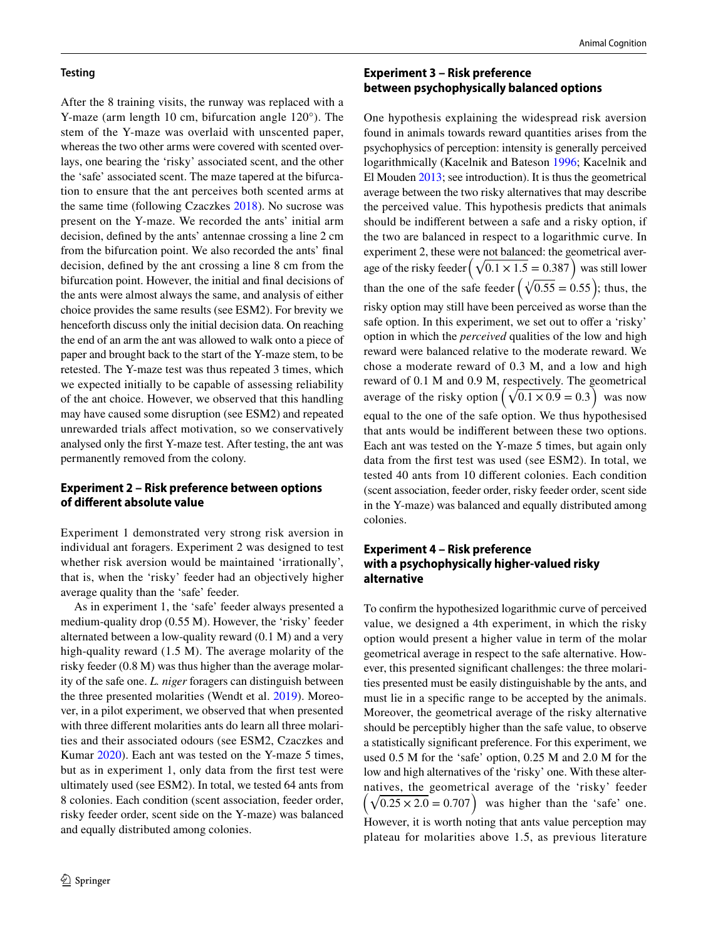#### **Testing**

After the 8 training visits, the runway was replaced with a Y-maze (arm length 10 cm, bifurcation angle 120°). The stem of the Y-maze was overlaid with unscented paper, whereas the two other arms were covered with scented overlays, one bearing the 'risky' associated scent, and the other the 'safe' associated scent. The maze tapered at the bifurcation to ensure that the ant perceives both scented arms at the same time (following Czaczkes [2018\)](#page-7-23). No sucrose was present on the Y-maze. We recorded the ants' initial arm decision, defned by the ants' antennae crossing a line 2 cm from the bifurcation point. We also recorded the ants' fnal decision, defned by the ant crossing a line 8 cm from the bifurcation point. However, the initial and fnal decisions of the ants were almost always the same, and analysis of either choice provides the same results (see ESM2). For brevity we henceforth discuss only the initial decision data. On reaching the end of an arm the ant was allowed to walk onto a piece of paper and brought back to the start of the Y-maze stem, to be retested. The Y-maze test was thus repeated 3 times, which we expected initially to be capable of assessing reliability of the ant choice. However, we observed that this handling may have caused some disruption (see ESM2) and repeated unrewarded trials afect motivation, so we conservatively analysed only the frst Y-maze test. After testing, the ant was permanently removed from the colony.

#### **Experiment 2 – Risk preference between options of diferent absolute value**

Experiment 1 demonstrated very strong risk aversion in individual ant foragers. Experiment 2 was designed to test whether risk aversion would be maintained 'irrationally', that is, when the 'risky' feeder had an objectively higher average quality than the 'safe' feeder.

As in experiment 1, the 'safe' feeder always presented a medium-quality drop (0.55 M). However, the 'risky' feeder alternated between a low-quality reward (0.1 M) and a very high-quality reward (1.5 M). The average molarity of the risky feeder (0.8 M) was thus higher than the average molarity of the safe one. *L. niger* foragers can distinguish between the three presented molarities (Wendt et al. [2019](#page-8-19)). Moreover, in a pilot experiment, we observed that when presented with three diferent molarities ants do learn all three molarities and their associated odours (see ESM2, Czaczkes and Kumar [2020](#page-7-26)). Each ant was tested on the Y-maze 5 times, but as in experiment 1, only data from the frst test were ultimately used (see ESM2). In total, we tested 64 ants from 8 colonies. Each condition (scent association, feeder order, risky feeder order, scent side on the Y-maze) was balanced and equally distributed among colonies.

### **Experiment 3 – Risk preference between psychophysically balanced options**

One hypothesis explaining the widespread risk aversion found in animals towards reward quantities arises from the psychophysics of perception: intensity is generally perceived logarithmically (Kacelnik and Bateson [1996](#page-7-4); Kacelnik and El Mouden [2013](#page-8-8); see introduction). It is thus the geometrical average between the two risky alternatives that may describe the perceived value. This hypothesis predicts that animals should be indiferent between a safe and a risky option, if the two are balanced in respect to a logarithmic curve. In experiment 2, these were not balanced: the geometrical average of the risky feeder  $(\sqrt{0.1 \times 1.5} = 0.387)$  was still lower than the one of the safe feeder  $\left(\sqrt[4]{0.55} = 0.55\right)$ ; thus, the risky option may still have been perceived as worse than the safe option. In this experiment, we set out to offer a 'risky' option in which the *perceived* qualities of the low and high reward were balanced relative to the moderate reward. We chose a moderate reward of 0.3 M, and a low and high reward of 0.1 M and 0.9 M, respectively. The geometrical average of the risky option  $(\sqrt{0.1 \times 0.9} = 0.3)$  was now equal to the one of the safe option. We thus hypothesised that ants would be indiferent between these two options. Each ant was tested on the Y-maze 5 times, but again only data from the frst test was used (see ESM2). In total, we tested 40 ants from 10 diferent colonies. Each condition (scent association, feeder order, risky feeder order, scent side in the Y-maze) was balanced and equally distributed among colonies.

### **Experiment 4 – Risk preference with a psychophysically higher‑valued risky alternative**

To confrm the hypothesized logarithmic curve of perceived value, we designed a 4th experiment, in which the risky option would present a higher value in term of the molar geometrical average in respect to the safe alternative. However, this presented signifcant challenges: the three molarities presented must be easily distinguishable by the ants, and must lie in a specifc range to be accepted by the animals. Moreover, the geometrical average of the risky alternative should be perceptibly higher than the safe value, to observe a statistically signifcant preference. For this experiment, we used 0.5 M for the 'safe' option, 0.25 M and 2.0 M for the low and high alternatives of the 'risky' one. With these alter- �natives, the geometrical average of the 'risky' feeder  $\sqrt{0.25 \times 2.0} = 0.707$  was higher than the 'safe' one. However, it is worth noting that ants value perception may plateau for molarities above 1.5, as previous literature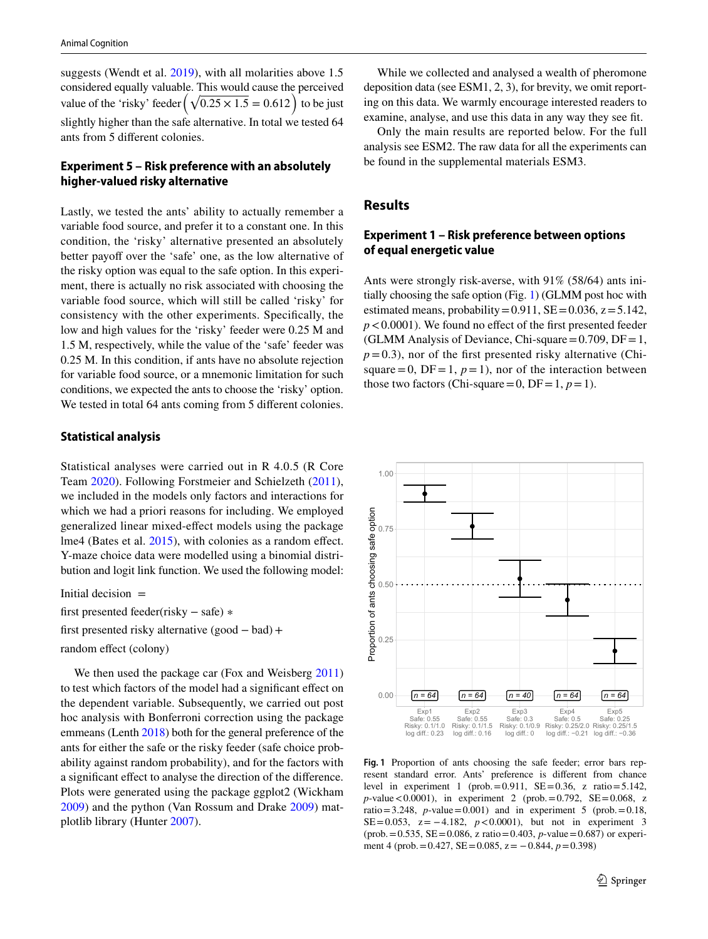suggests (Wendt et al. [2019\)](#page-8-19), with all molarities above 1.5 considered equally valuable. This would cause the perceived value of the 'risky' feeder  $(\sqrt{0.25 \times 1.5} = 0.612)$  to be just slightly higher than the safe alternative. In total we tested 64 ants from 5 diferent colonies.

### **Experiment 5 – Risk preference with an absolutely higher‑valued risky alternative**

Lastly, we tested the ants' ability to actually remember a variable food source, and prefer it to a constant one. In this condition, the 'risky' alternative presented an absolutely better payoff over the 'safe' one, as the low alternative of the risky option was equal to the safe option. In this experiment, there is actually no risk associated with choosing the variable food source, which will still be called 'risky' for consistency with the other experiments. Specifcally, the low and high values for the 'risky' feeder were 0.25 M and 1.5 M, respectively, while the value of the 'safe' feeder was 0.25 M. In this condition, if ants have no absolute rejection for variable food source, or a mnemonic limitation for such conditions, we expected the ants to choose the 'risky' option. We tested in total 64 ants coming from 5 different colonies.

#### **Statistical analysis**

Statistical analyses were carried out in R 4.0.5 (R Core Team [2020\)](#page-8-21). Following Forstmeier and Schielzeth ([2011](#page-7-27)), we included in the models only factors and interactions for which we had a priori reasons for including. We employed generalized linear mixed-efect models using the package lme4 (Bates et al. [2015\)](#page-7-28), with colonies as a random effect. Y-maze choice data were modelled using a binomial distribution and logit link function. We used the following model:

Initial decision  $=$ 

first presented feeder(risky − safe) ∗

first presented risky alternative (good − bad)+

random effect (colony)

We then used the package car (Fox and Weisberg [2011\)](#page-7-29) to test which factors of the model had a signifcant efect on the dependent variable. Subsequently, we carried out post hoc analysis with Bonferroni correction using the package emmeans (Lenth [2018](#page-8-22)) both for the general preference of the ants for either the safe or the risky feeder (safe choice probability against random probability), and for the factors with a signifcant efect to analyse the direction of the diference. Plots were generated using the package ggplot2 (Wickham [2009](#page-8-23)) and the python (Van Rossum and Drake [2009](#page-8-24)) matplotlib library (Hunter [2007\)](#page-7-30).

While we collected and analysed a wealth of pheromone deposition data (see ESM1, 2, 3), for brevity, we omit reporting on this data. We warmly encourage interested readers to examine, analyse, and use this data in any way they see ft.

Only the main results are reported below. For the full analysis see ESM2. The raw data for all the experiments can be found in the supplemental materials ESM3.

### **Results**

### **Experiment 1 – Risk preference between options of equal energetic value**

Ants were strongly risk-averse, with 91% (58/64) ants initially choosing the safe option (Fig. [1](#page-4-0)) (GLMM post hoc with estimated means, probability =  $0.911$ , SE =  $0.036$ , z =  $5.142$ ,  $p < 0.0001$ ). We found no effect of the first presented feeder (GLMM Analysis of Deviance, Chi-square =  $0.709$ , DF = 1,  $p=0.3$ ), nor of the first presented risky alternative (Chisquare = 0,  $DF = 1$ ,  $p = 1$ ), nor of the interaction between those two factors (Chi-square = 0, DF = 1,  $p = 1$ ).



<span id="page-4-0"></span>**Fig. 1** Proportion of ants choosing the safe feeder; error bars represent standard error. Ants' preference is diferent from chance level in experiment 1 (prob.  $= 0.911$ , SE $= 0.36$ , z ratio $= 5.142$ ,  $p$ -value < 0.0001), in experiment 2 (prob. = 0.792, SE = 0.068, z ratio=3.248, *p*-value=0.001) and in experiment 5 (prob. = 0.18, SE=0.053, z= −4.182, *p* < 0.0001), but not in experiment 3  $(\text{prob.} = 0.535, \text{ SE} = 0.086, \text{ z ratio} = 0.403, \text{ p-value} = 0.687) \text{ or experi-}$ ment 4 (prob.=0.427, SE=0.085, z= −0.844, *p*=0.398)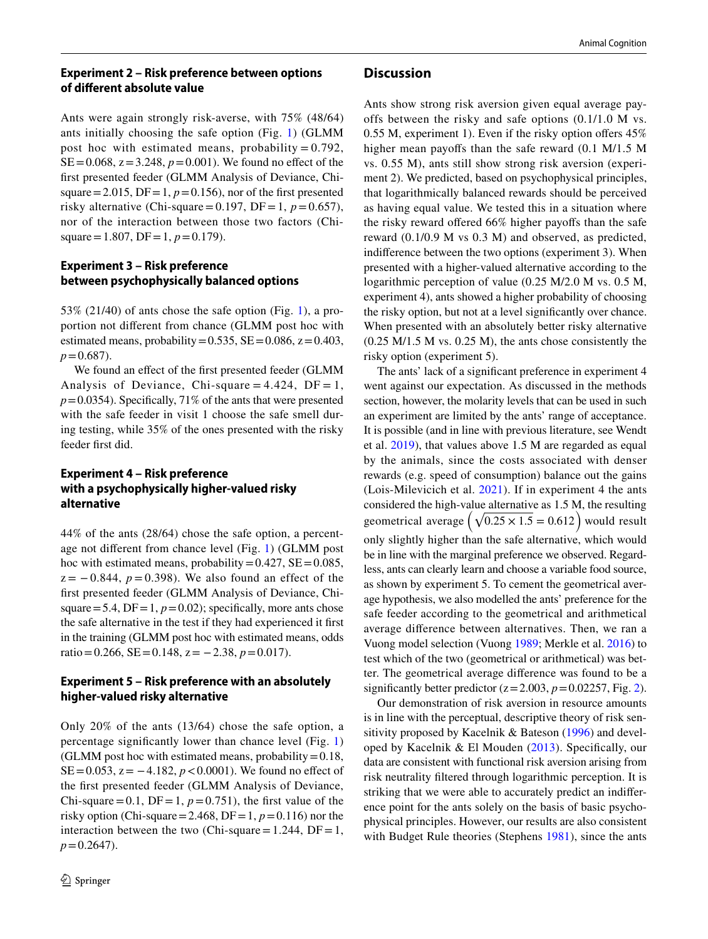### **Experiment 2 – Risk preference between options of diferent absolute value**

Ants were again strongly risk-averse, with 75% (48/64) ants initially choosing the safe option (Fig. [1\)](#page-4-0) (GLMM post hoc with estimated means, probability =  $0.792$ ,  $SE = 0.068$ ,  $z = 3.248$ ,  $p = 0.001$ ). We found no effect of the frst presented feeder (GLMM Analysis of Deviance, Chisquare = 2.015,  $DF = 1$ ,  $p = 0.156$ ), nor of the first presented risky alternative (Chi-square = 0.197, DF = 1,  $p = 0.657$ ), nor of the interaction between those two factors (Chisquare = 1.807, DF = 1,  $p = 0.179$ ).

### **Experiment 3 – Risk preference between psychophysically balanced options**

53% (21/40) of ants chose the safe option (Fig. [1](#page-4-0)), a proportion not diferent from chance (GLMM post hoc with estimated means, probability =  $0.535$ , SE =  $0.086$ , z =  $0.403$ ,  $p = 0.687$ .

We found an effect of the first presented feeder (GLMM Analysis of Deviance, Chi-square =  $4.424$ , DF = 1,  $p=0.0354$ ). Specifically, 71% of the ants that were presented with the safe feeder in visit 1 choose the safe smell during testing, while 35% of the ones presented with the risky feeder frst did.

### **Experiment 4 – Risk preference with a psychophysically higher‑valued risky alternative**

44% of the ants (28/64) chose the safe option, a percentage not diferent from chance level (Fig. [1](#page-4-0)) (GLMM post hoc with estimated means, probability =  $0.427$ , SE =  $0.085$ ,  $z = -0.844$ ,  $p = 0.398$ ). We also found an effect of the frst presented feeder (GLMM Analysis of Deviance, Chisquare=5.4,  $DF = 1$ ,  $p = 0.02$ ); specifically, more ants chose the safe alternative in the test if they had experienced it frst in the training (GLMM post hoc with estimated means, odds ratio=0.266, SE=0.148, z= −2.38, *p*=0.017).

### **Experiment 5 – Risk preference with an absolutely higher‑valued risky alternative**

Only 20% of the ants (13/64) chose the safe option, a percentage signifcantly lower than chance level (Fig. [1\)](#page-4-0) (GLMM post hoc with estimated means, probability  $=0.18$ , SE=0.053,  $z = -4.182$ ,  $p < 0.0001$ ). We found no effect of the frst presented feeder (GLMM Analysis of Deviance, Chi-square = 0.1,  $DF = 1$ ,  $p = 0.751$ ), the first value of the risky option (Chi-square = 2.468, DF = 1,  $p = 0.116$ ) nor the interaction between the two (Chi-square = 1.244, DF = 1,  $p = 0.2647$ .

#### **Discussion**

Ants show strong risk aversion given equal average payoffs between the risky and safe options (0.1/1.0 M vs. 0.55 M, experiment 1). Even if the risky option offers  $45\%$ higher mean payoffs than the safe reward  $(0.1 \text{ M}/1.5 \text{ M})$ vs. 0.55 M), ants still show strong risk aversion (experiment 2). We predicted, based on psychophysical principles, that logarithmically balanced rewards should be perceived as having equal value. We tested this in a situation where the risky reward offered 66% higher payoffs than the safe reward (0.1/0.9 M vs 0.3 M) and observed, as predicted, indiference between the two options (experiment 3). When presented with a higher-valued alternative according to the logarithmic perception of value (0.25 M/2.0 M vs. 0.5 M, experiment 4), ants showed a higher probability of choosing the risky option, but not at a level signifcantly over chance. When presented with an absolutely better risky alternative (0.25 M/1.5 M vs. 0.25 M), the ants chose consistently the risky option (experiment 5).

The ants' lack of a signifcant preference in experiment 4 went against our expectation. As discussed in the methods section, however, the molarity levels that can be used in such an experiment are limited by the ants' range of acceptance. It is possible (and in line with previous literature, see Wendt et al. [2019](#page-8-19)), that values above 1.5 M are regarded as equal by the animals, since the costs associated with denser rewards (e.g. speed of consumption) balance out the gains (Lois-Milevicich et al. [2021\)](#page-8-25). If in experiment 4 the ants considered the high-value alternative as 1.5 M, the resulting geometrical average  $(\sqrt{0.25 \times 1.5} = 0.612)$  would result only slightly higher than the safe alternative, which would be in line with the marginal preference we observed. Regardless, ants can clearly learn and choose a variable food source, as shown by experiment 5. To cement the geometrical average hypothesis, we also modelled the ants' preference for the safe feeder according to the geometrical and arithmetical average diference between alternatives. Then, we ran a Vuong model selection (Vuong [1989](#page-8-26); Merkle et al. [2016\)](#page-8-27) to test which of the two (geometrical or arithmetical) was better. The geometrical average diference was found to be a significantly better predictor  $(z=2.003, p=0.02257,$  Fig. [2](#page-6-0)).

Our demonstration of risk aversion in resource amounts is in line with the perceptual, descriptive theory of risk sensitivity proposed by Kacelnik & Bateson [\(1996\)](#page-7-4) and developed by Kacelnik & El Mouden  $(2013)$  $(2013)$  $(2013)$ . Specifically, our data are consistent with functional risk aversion arising from risk neutrality fltered through logarithmic perception. It is striking that we were able to accurately predict an indiference point for the ants solely on the basis of basic psychophysical principles. However, our results are also consistent with Budget Rule theories (Stephens [1981\)](#page-8-1), since the ants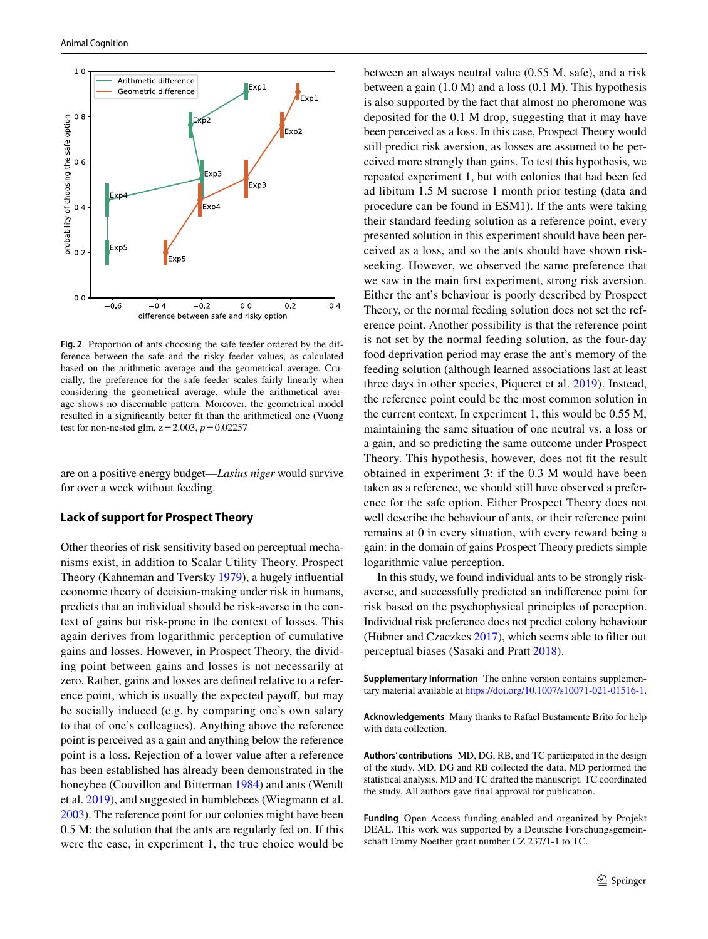

<span id="page-6-0"></span>**Fig. 2** Proportion of ants choosing the safe feeder ordered by the difference between the safe and the risky feeder values, as calculated based on the arithmetic average and the geometrical average. Crucially, the preference for the safe feeder scales fairly linearly when considering the geometrical average, while the arithmetical average shows no discernable pattern. Moreover, the geometrical model resulted in a signifcantly better ft than the arithmetical one (Vuong test for non-nested glm,  $z = 2.003$ ,  $p = 0.02257$ 

are on a positive energy budget—*Lasius niger* would survive for over a week without feeding.

#### **Lack of support for Prospect Theory**

Other theories of risk sensitivity based on perceptual mechanisms exist, in addition to Scalar Utility Theory. Prospect Theory (Kahneman and Tversky [1979\)](#page-8-3), a hugely infuential economic theory of decision-making under risk in humans, predicts that an individual should be risk-averse in the context of gains but risk-prone in the context of losses. This again derives from logarithmic perception of cumulative gains and losses. However, in Prospect Theory, the dividing point between gains and losses is not necessarily at zero. Rather, gains and losses are defned relative to a reference point, which is usually the expected payof, but may be socially induced (e.g. by comparing one's own salary to that of one's colleagues). Anything above the reference point is perceived as a gain and anything below the reference point is a loss. Rejection of a lower value after a reference has been established has already been demonstrated in the honeybee (Couvillon and Bitterman [1984](#page-7-31)) and ants (Wendt et al. [2019\)](#page-8-19), and suggested in bumblebees (Wiegmann et al. [2003](#page-8-28)). The reference point for our colonies might have been 0.5 M: the solution that the ants are regularly fed on. If this were the case, in experiment 1, the true choice would be between an always neutral value (0.55 M, safe), and a risk between a gain  $(1.0 M)$  and a loss  $(0.1 M)$ . This hypothesis is also supported by the fact that almost no pheromone was deposited for the 0.1 M drop, suggesting that it may have been perceived as a loss. In this case, Prospect Theory would still predict risk aversion, as losses are assumed to be perceived more strongly than gains. To test this hypothesis, we repeated experiment 1, but with colonies that had been fed ad libitum 1.5 M sucrose 1 month prior testing (data and procedure can be found in ESM1). If the ants were taking their standard feeding solution as a reference point, every presented solution in this experiment should have been perceived as a loss, and so the ants should have shown riskseeking. However, we observed the same preference that we saw in the main frst experiment, strong risk aversion. Either the ant's behaviour is poorly described by Prospect Theory, or the normal feeding solution does not set the reference point. Another possibility is that the reference point is not set by the normal feeding solution, as the four-day food deprivation period may erase the ant's memory of the feeding solution (although learned associations last at least three days in other species, Piqueret et al. [2019\)](#page-8-29). Instead, the reference point could be the most common solution in the current context. In experiment 1, this would be 0.55 M, maintaining the same situation of one neutral vs. a loss or a gain, and so predicting the same outcome under Prospect Theory. This hypothesis, however, does not ft the result obtained in experiment 3: if the 0.3 M would have been taken as a reference, we should still have observed a preference for the safe option. Either Prospect Theory does not well describe the behaviour of ants, or their reference point remains at 0 in every situation, with every reward being a gain: in the domain of gains Prospect Theory predicts simple logarithmic value perception.

In this study, we found individual ants to be strongly riskaverse, and successfully predicted an indiference point for risk based on the psychophysical principles of perception. Individual risk preference does not predict colony behaviour (Hübner and Czaczkes [2017](#page-7-18)), which seems able to flter out perceptual biases (Sasaki and Pratt [2018\)](#page-8-30).

**Supplementary Information** The online version contains supplementary material available at<https://doi.org/10.1007/s10071-021-01516-1>.

**Acknowledgements** Many thanks to Rafael Bustamente Brito for help with data collection.

**Authors' contributions** MD, DG, RB, and TC participated in the design of the study. MD, DG and RB collected the data, MD performed the statistical analysis. MD and TC drafted the manuscript. TC coordinated the study. All authors gave fnal approval for publication.

**Funding** Open Access funding enabled and organized by Projekt DEAL. This work was supported by a Deutsche Forschungsgemeinschaft Emmy Noether grant number CZ 237/1-1 to TC.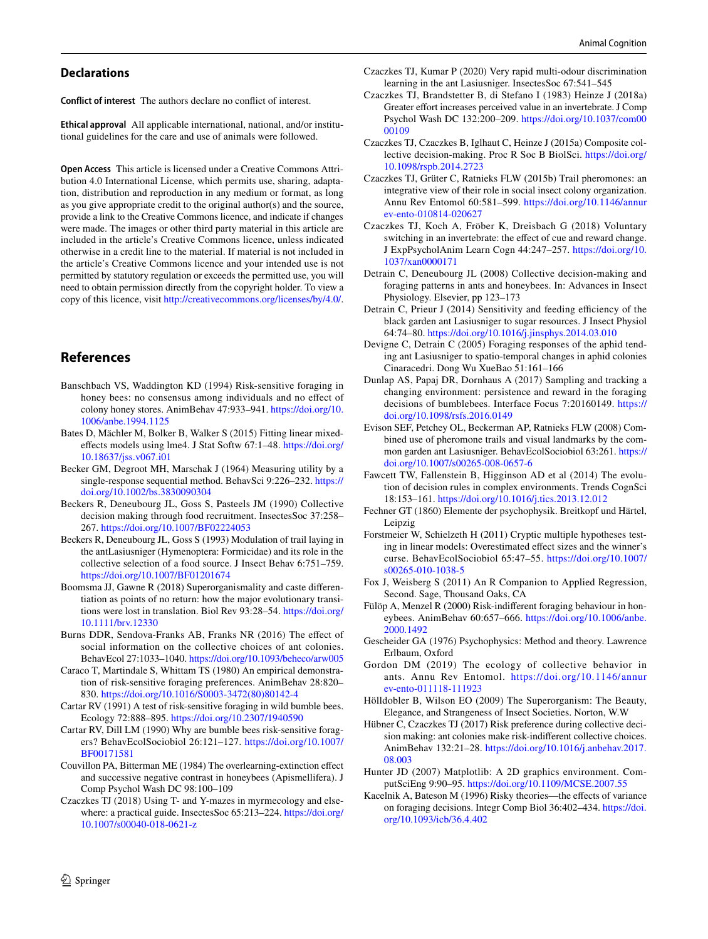#### **Declarations**

**Conflict of interest** The authors declare no confict of interest.

**Ethical approval** All applicable international, national, and/or institutional guidelines for the care and use of animals were followed.

**Open Access** This article is licensed under a Creative Commons Attribution 4.0 International License, which permits use, sharing, adaptation, distribution and reproduction in any medium or format, as long as you give appropriate credit to the original author(s) and the source, provide a link to the Creative Commons licence, and indicate if changes were made. The images or other third party material in this article are included in the article's Creative Commons licence, unless indicated otherwise in a credit line to the material. If material is not included in the article's Creative Commons licence and your intended use is not permitted by statutory regulation or exceeds the permitted use, you will need to obtain permission directly from the copyright holder. To view a copy of this licence, visit <http://creativecommons.org/licenses/by/4.0/>.

### **References**

- <span id="page-7-6"></span>Banschbach VS, Waddington KD (1994) Risk-sensitive foraging in honey bees: no consensus among individuals and no efect of colony honey stores. AnimBehav 47:933–941. [https://doi.org/10.](https://doi.org/10.1006/anbe.1994.1125) [1006/anbe.1994.1125](https://doi.org/10.1006/anbe.1994.1125)
- <span id="page-7-28"></span>Bates D, Mächler M, Bolker B, Walker S (2015) Fitting linear mixedefects models using lme4. J Stat Softw 67:1–48. [https://doi.org/](https://doi.org/10.18637/jss.v067.i01) [10.18637/jss.v067.i01](https://doi.org/10.18637/jss.v067.i01)
- <span id="page-7-2"></span>Becker GM, Degroot MH, Marschak J (1964) Measuring utility by a single-response sequential method. BehavSci 9:226–232. [https://](https://doi.org/10.1002/bs.3830090304) [doi.org/10.1002/bs.3830090304](https://doi.org/10.1002/bs.3830090304)
- <span id="page-7-19"></span>Beckers R, Deneubourg JL, Goss S, Pasteels JM (1990) Collective decision making through food recruitment. InsectesSoc 37:258– 267.<https://doi.org/10.1007/BF02224053>
- <span id="page-7-20"></span>Beckers R, Deneubourg JL, Goss S (1993) Modulation of trail laying in the antLasiusniger (Hymenoptera: Formicidae) and its role in the collective selection of a food source. J Insect Behav 6:751–759. <https://doi.org/10.1007/BF01201674>
- <span id="page-7-12"></span>Boomsma JJ, Gawne R (2018) Superorganismality and caste diferentiation as points of no return: how the major evolutionary transitions were lost in translation. Biol Rev 93:28–54. [https://doi.org/](https://doi.org/10.1111/brv.12330) [10.1111/brv.12330](https://doi.org/10.1111/brv.12330)
- <span id="page-7-17"></span>Burns DDR, Sendova-Franks AB, Franks NR (2016) The efect of social information on the collective choices of ant colonies. BehavEcol 27:1033–1040.<https://doi.org/10.1093/beheco/arw005>
- <span id="page-7-1"></span>Caraco T, Martindale S, Whittam TS (1980) An empirical demonstration of risk-sensitive foraging preferences. AnimBehav 28:820– 830. [https://doi.org/10.1016/S0003-3472\(80\)80142-4](https://doi.org/10.1016/S0003-3472(80)80142-4)
- <span id="page-7-9"></span>Cartar RV (1991) A test of risk-sensitive foraging in wild bumble bees. Ecology 72:888–895.<https://doi.org/10.2307/1940590>
- <span id="page-7-8"></span>Cartar RV, Dill LM (1990) Why are bumble bees risk-sensitive foragers? BehavEcolSociobiol 26:121–127. [https://doi.org/10.1007/](https://doi.org/10.1007/BF00171581) [BF00171581](https://doi.org/10.1007/BF00171581)
- <span id="page-7-31"></span>Couvillon PA, Bitterman ME (1984) The overlearning-extinction efect and successive negative contrast in honeybees (Apismellifera). J Comp Psychol Wash DC 98:100–109
- <span id="page-7-23"></span>Czaczkes TJ (2018) Using T- and Y-mazes in myrmecology and elsewhere: a practical guide. InsectesSoc 65:213–224. [https://doi.org/](https://doi.org/10.1007/s00040-018-0621-z) [10.1007/s00040-018-0621-z](https://doi.org/10.1007/s00040-018-0621-z)
- <span id="page-7-26"></span>Czaczkes TJ, Kumar P (2020) Very rapid multi-odour discrimination learning in the ant Lasiusniger. InsectesSoc 67:541–545
- Czaczkes TJ, Brandstetter B, di Stefano I (1983) Heinze J (2018a) Greater efort increases perceived value in an invertebrate. J Comp Psychol Wash DC 132:200–209. [https://doi.org/10.1037/com00](https://doi.org/10.1037/com0000109) [00109](https://doi.org/10.1037/com0000109)
- <span id="page-7-14"></span>Czaczkes TJ, Czaczkes B, Iglhaut C, Heinze J (2015a) Composite collective decision-making. Proc R Soc B BiolSci. [https://doi.org/](https://doi.org/10.1098/rspb.2014.2723) [10.1098/rspb.2014.2723](https://doi.org/10.1098/rspb.2014.2723)
- <span id="page-7-21"></span>Czaczkes TJ, Grüter C, Ratnieks FLW (2015b) Trail pheromones: an integrative view of their role in social insect colony organization. Annu Rev Entomol 60:581–599. [https://doi.org/10.1146/annur](https://doi.org/10.1146/annurev-ento-010814-020627) [ev-ento-010814-020627](https://doi.org/10.1146/annurev-ento-010814-020627)
- <span id="page-7-24"></span>Czaczkes TJ, Koch A, Fröber K, Dreisbach G (2018) Voluntary switching in an invertebrate: the effect of cue and reward change. J ExpPsycholAnim Learn Cogn 44:247–257. [https://doi.org/10.](https://doi.org/10.1037/xan0000171) [1037/xan0000171](https://doi.org/10.1037/xan0000171)
- <span id="page-7-15"></span>Detrain C, Deneubourg JL (2008) Collective decision-making and foraging patterns in ants and honeybees. In: Advances in Insect Physiology. Elsevier, pp 123–173
- <span id="page-7-25"></span>Detrain C, Prieur J (2014) Sensitivity and feeding efficiency of the black garden ant Lasiusniger to sugar resources. J Insect Physiol 64:74–80. <https://doi.org/10.1016/j.jinsphys.2014.03.010>
- <span id="page-7-13"></span>Devigne C, Detrain C (2005) Foraging responses of the aphid tending ant Lasiusniger to spatio-temporal changes in aphid colonies Cinaracedri. Dong Wu XueBao 51:161–166
- <span id="page-7-10"></span>Dunlap AS, Papaj DR, Dornhaus A (2017) Sampling and tracking a changing environment: persistence and reward in the foraging decisions of bumblebees. Interface Focus 7:20160149. [https://](https://doi.org/10.1098/rsfs.2016.0149) [doi.org/10.1098/rsfs.2016.0149](https://doi.org/10.1098/rsfs.2016.0149)
- <span id="page-7-22"></span>Evison SEF, Petchey OL, Beckerman AP, Ratnieks FLW (2008) Combined use of pheromone trails and visual landmarks by the common garden ant Lasiusniger. BehavEcolSociobiol 63:261. [https://](https://doi.org/10.1007/s00265-008-0657-6) [doi.org/10.1007/s00265-008-0657-6](https://doi.org/10.1007/s00265-008-0657-6)
- <span id="page-7-0"></span>Fawcett TW, Fallenstein B, Higginson AD et al (2014) The evolution of decision rules in complex environments. Trends CognSci 18:153–161.<https://doi.org/10.1016/j.tics.2013.12.012>
- <span id="page-7-3"></span>Fechner GT (1860) Elemente der psychophysik. Breitkopf und Härtel, Leipzig
- <span id="page-7-27"></span>Forstmeier W, Schielzeth H (2011) Cryptic multiple hypotheses testing in linear models: Overestimated effect sizes and the winner's curse. BehavEcolSociobiol 65:47–55. [https://doi.org/10.1007/](https://doi.org/10.1007/s00265-010-1038-5) [s00265-010-1038-5](https://doi.org/10.1007/s00265-010-1038-5)
- <span id="page-7-29"></span>Fox J, Weisberg S (2011) An R Companion to Applied Regression, Second. Sage, Thousand Oaks, CA
- <span id="page-7-7"></span>Fülöp A, Menzel R (2000) Risk-indiferent foraging behaviour in honeybees. AnimBehav 60:657–666. [https://doi.org/10.1006/anbe.](https://doi.org/10.1006/anbe.2000.1492) [2000.1492](https://doi.org/10.1006/anbe.2000.1492)
- <span id="page-7-5"></span>Gescheider GA (1976) Psychophysics: Method and theory. Lawrence Erlbaum, Oxford
- <span id="page-7-16"></span>Gordon DM (2019) The ecology of collective behavior in ants. Annu Rev Entomol. [https://doi.org/10.1146/annur](https://doi.org/10.1146/annurev-ento-011118-111923) [ev-ento-011118-111923](https://doi.org/10.1146/annurev-ento-011118-111923)
- <span id="page-7-11"></span>Hölldobler B, Wilson EO (2009) The Superorganism: The Beauty, Elegance, and Strangeness of Insect Societies. Norton, W.W
- <span id="page-7-18"></span>Hübner C, Czaczkes TJ (2017) Risk preference during collective decision making: ant colonies make risk-indiferent collective choices. AnimBehav 132:21–28. [https://doi.org/10.1016/j.anbehav.2017.](https://doi.org/10.1016/j.anbehav.2017.08.003) [08.003](https://doi.org/10.1016/j.anbehav.2017.08.003)
- <span id="page-7-30"></span>Hunter JD (2007) Matplotlib: A 2D graphics environment. ComputSciEng 9:90–95.<https://doi.org/10.1109/MCSE.2007.55>
- <span id="page-7-4"></span>Kacelnik A, Bateson M (1996) Risky theories—the effects of variance on foraging decisions. Integr Comp Biol 36:402–434. [https://doi.](https://doi.org/10.1093/icb/36.4.402) [org/10.1093/icb/36.4.402](https://doi.org/10.1093/icb/36.4.402)